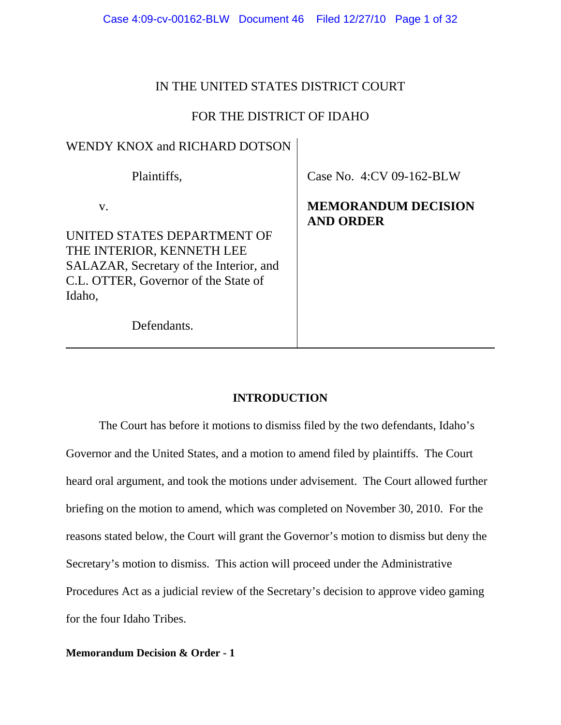| Case 4:09-cv-00162-BLW Document 46 Filed 12/27/10 Page 1 of 32 |  |  |  |
|----------------------------------------------------------------|--|--|--|
|----------------------------------------------------------------|--|--|--|

# IN THE UNITED STATES DISTRICT COURT

# FOR THE DISTRICT OF IDAHO

# WENDY KNOX and RICHARD DOTSON

Plaintiffs,

v.

UNITED STATES DEPARTMENT OF THE INTERIOR, KENNETH LEE SALAZAR, Secretary of the Interior, and C.L. OTTER, Governor of the State of Idaho,

Case No. 4:CV 09-162-BLW

# **MEMORANDUM DECISION AND ORDER**

Defendants.

# **INTRODUCTION**

The Court has before it motions to dismiss filed by the two defendants, Idaho's Governor and the United States, and a motion to amend filed by plaintiffs. The Court heard oral argument, and took the motions under advisement. The Court allowed further briefing on the motion to amend, which was completed on November 30, 2010. For the reasons stated below, the Court will grant the Governor's motion to dismiss but deny the Secretary's motion to dismiss. This action will proceed under the Administrative Procedures Act as a judicial review of the Secretary's decision to approve video gaming for the four Idaho Tribes.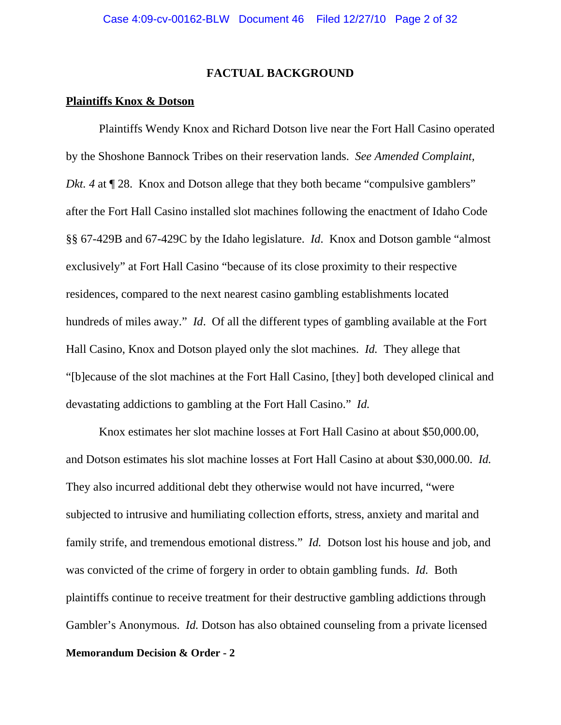### **FACTUAL BACKGROUND**

### **Plaintiffs Knox & Dotson**

Plaintiffs Wendy Knox and Richard Dotson live near the Fort Hall Casino operated by the Shoshone Bannock Tribes on their reservation lands. *See Amended Complaint, Dkt. 4* at  $\P$  28. Knox and Dotson allege that they both became "compulsive gamblers" after the Fort Hall Casino installed slot machines following the enactment of Idaho Code §§ 67-429B and 67-429C by the Idaho legislature. *Id*. Knox and Dotson gamble "almost exclusively" at Fort Hall Casino "because of its close proximity to their respective residences, compared to the next nearest casino gambling establishments located hundreds of miles away." *Id*. Of all the different types of gambling available at the Fort Hall Casino, Knox and Dotson played only the slot machines. *Id.* They allege that "[b]ecause of the slot machines at the Fort Hall Casino, [they] both developed clinical and devastating addictions to gambling at the Fort Hall Casino." *Id.* 

Knox estimates her slot machine losses at Fort Hall Casino at about \$50,000.00, and Dotson estimates his slot machine losses at Fort Hall Casino at about \$30,000.00. *Id.*  They also incurred additional debt they otherwise would not have incurred, "were subjected to intrusive and humiliating collection efforts, stress, anxiety and marital and family strife, and tremendous emotional distress." *Id.* Dotson lost his house and job, and was convicted of the crime of forgery in order to obtain gambling funds. *Id.* Both plaintiffs continue to receive treatment for their destructive gambling addictions through Gambler's Anonymous. *Id.* Dotson has also obtained counseling from a private licensed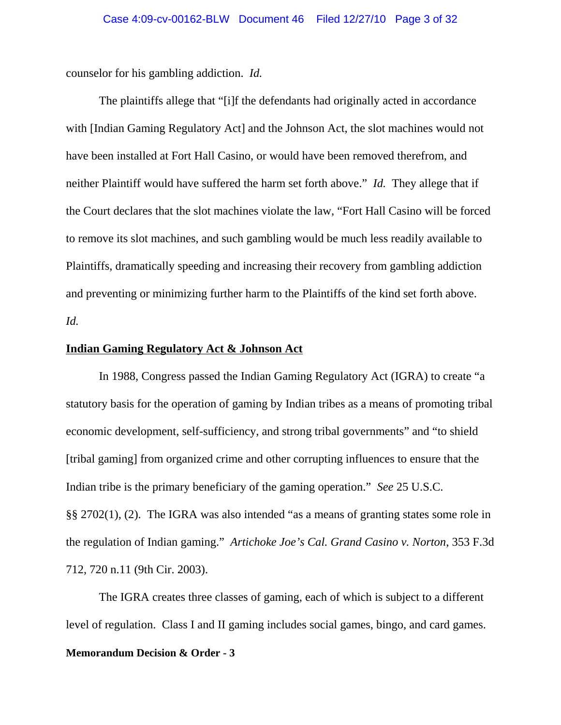counselor for his gambling addiction. *Id.*

The plaintiffs allege that "[i]f the defendants had originally acted in accordance with [Indian Gaming Regulatory Act] and the Johnson Act, the slot machines would not have been installed at Fort Hall Casino, or would have been removed therefrom, and neither Plaintiff would have suffered the harm set forth above." *Id.* They allege that if the Court declares that the slot machines violate the law, "Fort Hall Casino will be forced to remove its slot machines, and such gambling would be much less readily available to Plaintiffs, dramatically speeding and increasing their recovery from gambling addiction and preventing or minimizing further harm to the Plaintiffs of the kind set forth above. *Id.*

# **Indian Gaming Regulatory Act & Johnson Act**

In 1988, Congress passed the Indian Gaming Regulatory Act (IGRA) to create "a statutory basis for the operation of gaming by Indian tribes as a means of promoting tribal economic development, self-sufficiency, and strong tribal governments" and "to shield [tribal gaming] from organized crime and other corrupting influences to ensure that the Indian tribe is the primary beneficiary of the gaming operation." *See* 25 U.S.C. §§ 2702(1), (2). The IGRA was also intended "as a means of granting states some role in the regulation of Indian gaming." *Artichoke Joe's Cal. Grand Casino v. Norton*, 353 F.3d 712, 720 n.11 (9th Cir. 2003).

The IGRA creates three classes of gaming, each of which is subject to a different level of regulation. Class I and II gaming includes social games, bingo, and card games.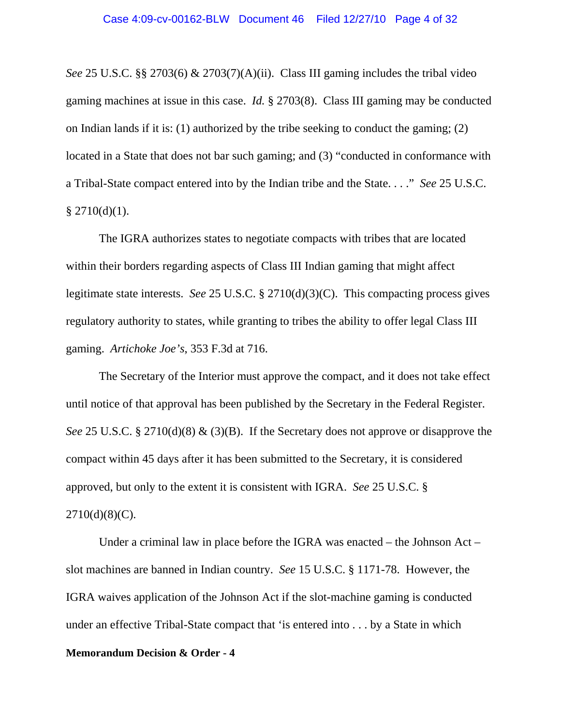*See* 25 U.S.C. §§ 2703(6) & 2703(7)(A)(ii). Class III gaming includes the tribal video gaming machines at issue in this case. *Id.* § 2703(8). Class III gaming may be conducted on Indian lands if it is: (1) authorized by the tribe seeking to conduct the gaming; (2) located in a State that does not bar such gaming; and (3) "conducted in conformance with a Tribal-State compact entered into by the Indian tribe and the State. . . ." *See* 25 U.S.C.  $§$  2710(d)(1).

The IGRA authorizes states to negotiate compacts with tribes that are located within their borders regarding aspects of Class III Indian gaming that might affect legitimate state interests. *See* 25 U.S.C. § 2710(d)(3)(C). This compacting process gives regulatory authority to states, while granting to tribes the ability to offer legal Class III gaming. *Artichoke Joe's*, 353 F.3d at 716.

The Secretary of the Interior must approve the compact, and it does not take effect until notice of that approval has been published by the Secretary in the Federal Register. *See* 25 U.S.C. § 2710(d)(8) & (3)(B). If the Secretary does not approve or disapprove the compact within 45 days after it has been submitted to the Secretary, it is considered approved, but only to the extent it is consistent with IGRA. *See* 25 U.S.C. §  $2710(d)(8)(C)$ .

Under a criminal law in place before the IGRA was enacted – the Johnson Act – slot machines are banned in Indian country. *See* 15 U.S.C. § 1171-78. However, the IGRA waives application of the Johnson Act if the slot-machine gaming is conducted under an effective Tribal-State compact that 'is entered into . . . by a State in which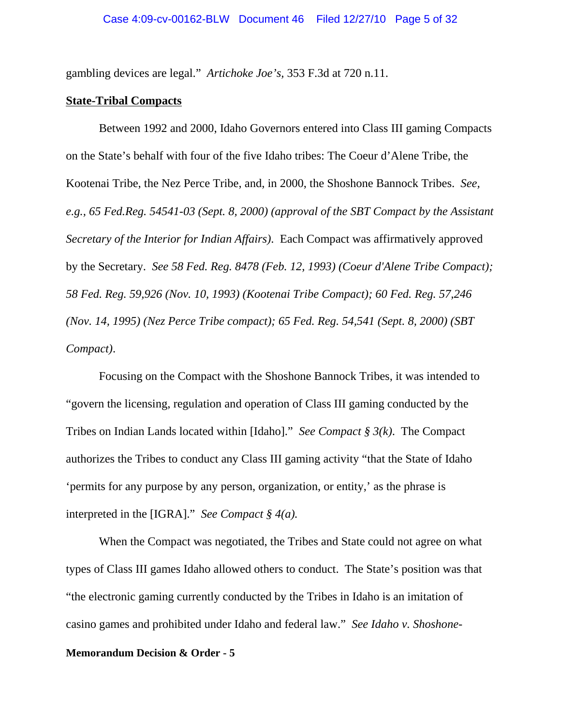gambling devices are legal." *Artichoke Joe's,* 353 F.3d at 720 n.11.

### **State-Tribal Compacts**

Between 1992 and 2000, Idaho Governors entered into Class III gaming Compacts on the State's behalf with four of the five Idaho tribes: The Coeur d'Alene Tribe, the Kootenai Tribe, the Nez Perce Tribe, and, in 2000, the Shoshone Bannock Tribes. *See, e.g., 65 Fed.Reg. 54541-03 (Sept. 8, 2000) (approval of the SBT Compact by the Assistant Secretary of the Interior for Indian Affairs)*. Each Compact was affirmatively approved by the Secretary. *See 58 Fed. Reg. 8478 (Feb. 12, 1993) (Coeur d'Alene Tribe Compact); 58 Fed. Reg. 59,926 (Nov. 10, 1993) (Kootenai Tribe Compact); 60 Fed. Reg. 57,246 (Nov. 14, 1995) (Nez Perce Tribe compact); 65 Fed. Reg. 54,541 (Sept. 8, 2000) (SBT Compact)*.

Focusing on the Compact with the Shoshone Bannock Tribes, it was intended to "govern the licensing, regulation and operation of Class III gaming conducted by the Tribes on Indian Lands located within [Idaho]." *See Compact § 3(k)*. The Compact authorizes the Tribes to conduct any Class III gaming activity "that the State of Idaho 'permits for any purpose by any person, organization, or entity,' as the phrase is interpreted in the [IGRA]." *See Compact § 4(a).* 

When the Compact was negotiated, the Tribes and State could not agree on what types of Class III games Idaho allowed others to conduct. The State's position was that "the electronic gaming currently conducted by the Tribes in Idaho is an imitation of casino games and prohibited under Idaho and federal law." *See Idaho v. Shoshone-*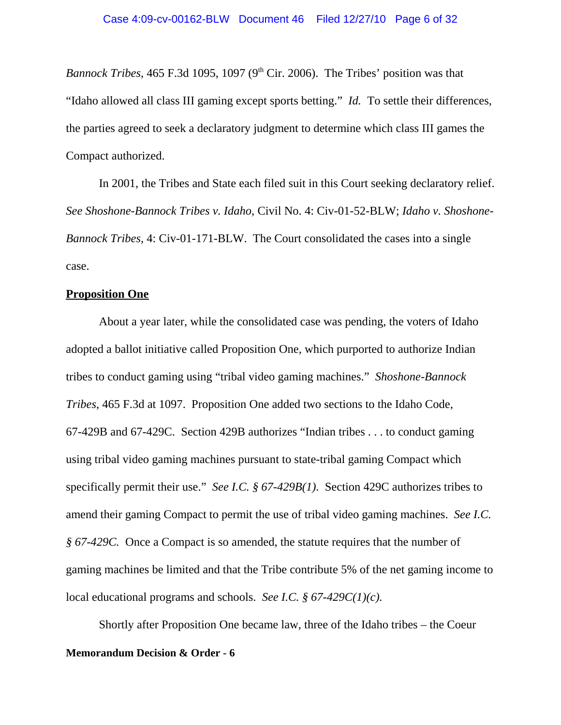*Bannock Tribes*, 465 F.3d 1095, 1097 ( $9<sup>th</sup>$  Cir. 2006). The Tribes' position was that "Idaho allowed all class III gaming except sports betting." *Id.* To settle their differences, the parties agreed to seek a declaratory judgment to determine which class III games the Compact authorized.

In 2001, the Tribes and State each filed suit in this Court seeking declaratory relief. *See Shoshone-Bannock Tribes v. Idaho*, Civil No. 4: Civ-01-52-BLW; *Idaho v. Shoshone-Bannock Tribes*, 4: Civ-01-171-BLW. The Court consolidated the cases into a single case.

### **Proposition One**

About a year later, while the consolidated case was pending, the voters of Idaho adopted a ballot initiative called Proposition One, which purported to authorize Indian tribes to conduct gaming using "tribal video gaming machines." *Shoshone-Bannock Tribes*, 465 F.3d at 1097. Proposition One added two sections to the Idaho Code, 67-429B and 67-429C. Section 429B authorizes "Indian tribes . . . to conduct gaming using tribal video gaming machines pursuant to state-tribal gaming Compact which specifically permit their use." *See I.C. § 67-429B(1)*. Section 429C authorizes tribes to amend their gaming Compact to permit the use of tribal video gaming machines. *See I.C. § 67-429C.* Once a Compact is so amended, the statute requires that the number of gaming machines be limited and that the Tribe contribute 5% of the net gaming income to local educational programs and schools. *See I.C. § 67-429C(1)(c).*

Shortly after Proposition One became law, three of the Idaho tribes – the Coeur **Memorandum Decision & Order - 6**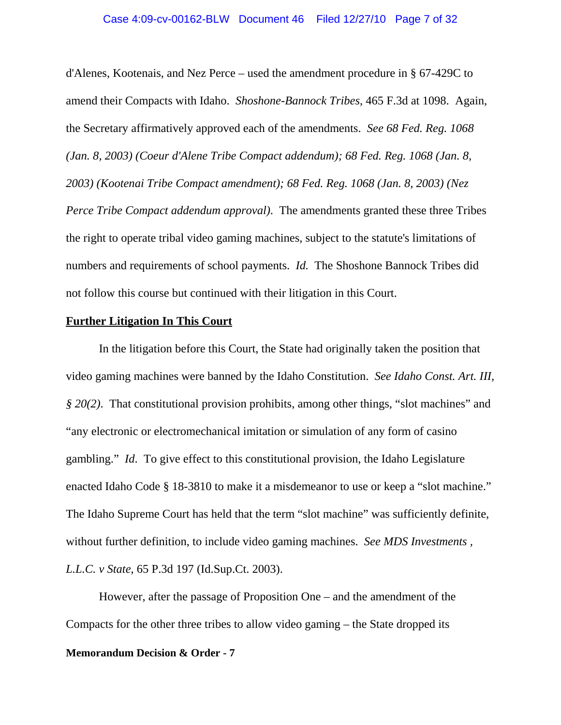#### Case 4:09-cv-00162-BLW Document 46 Filed 12/27/10 Page 7 of 32

d'Alenes, Kootenais, and Nez Perce – used the amendment procedure in § 67-429C to amend their Compacts with Idaho. *Shoshone-Bannock Tribes*, 465 F.3d at 1098. Again, the Secretary affirmatively approved each of the amendments. *See 68 Fed. Reg. 1068 (Jan. 8, 2003) (Coeur d'Alene Tribe Compact addendum); 68 Fed. Reg. 1068 (Jan. 8, 2003) (Kootenai Tribe Compact amendment); 68 Fed. Reg. 1068 (Jan. 8, 2003) (Nez Perce Tribe Compact addendum approval)*. The amendments granted these three Tribes the right to operate tribal video gaming machines, subject to the statute's limitations of numbers and requirements of school payments. *Id.* The Shoshone Bannock Tribes did not follow this course but continued with their litigation in this Court.

#### **Further Litigation In This Court**

In the litigation before this Court, the State had originally taken the position that video gaming machines were banned by the Idaho Constitution. *See Idaho Const. Art. III, § 20(2)*. That constitutional provision prohibits, among other things, "slot machines" and "any electronic or electromechanical imitation or simulation of any form of casino gambling." *Id*. To give effect to this constitutional provision, the Idaho Legislature enacted Idaho Code § 18-3810 to make it a misdemeanor to use or keep a "slot machine." The Idaho Supreme Court has held that the term "slot machine" was sufficiently definite, without further definition, to include video gaming machines. *See MDS Investments , L.L.C. v State*, 65 P.3d 197 (Id.Sup.Ct. 2003).

However, after the passage of Proposition One – and the amendment of the Compacts for the other three tribes to allow video gaming – the State dropped its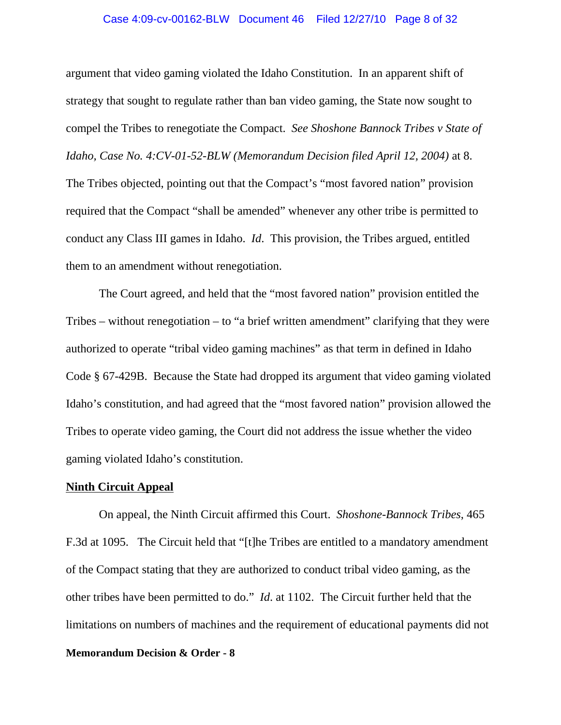# Case 4:09-cv-00162-BLW Document 46 Filed 12/27/10 Page 8 of 32

argument that video gaming violated the Idaho Constitution. In an apparent shift of strategy that sought to regulate rather than ban video gaming, the State now sought to compel the Tribes to renegotiate the Compact. *See Shoshone Bannock Tribes v State of Idaho, Case No. 4:CV-01-52-BLW (Memorandum Decision filed April 12, 2004)* at 8. The Tribes objected, pointing out that the Compact's "most favored nation" provision required that the Compact "shall be amended" whenever any other tribe is permitted to conduct any Class III games in Idaho. *Id*. This provision, the Tribes argued, entitled them to an amendment without renegotiation.

The Court agreed, and held that the "most favored nation" provision entitled the Tribes – without renegotiation – to "a brief written amendment" clarifying that they were authorized to operate "tribal video gaming machines" as that term in defined in Idaho Code § 67-429B. Because the State had dropped its argument that video gaming violated Idaho's constitution, and had agreed that the "most favored nation" provision allowed the Tribes to operate video gaming, the Court did not address the issue whether the video gaming violated Idaho's constitution.

### **Ninth Circuit Appeal**

On appeal, the Ninth Circuit affirmed this Court. *Shoshone-Bannock Tribes*, 465 F.3d at 1095. The Circuit held that "[t]he Tribes are entitled to a mandatory amendment of the Compact stating that they are authorized to conduct tribal video gaming, as the other tribes have been permitted to do." *Id*. at 1102. The Circuit further held that the limitations on numbers of machines and the requirement of educational payments did not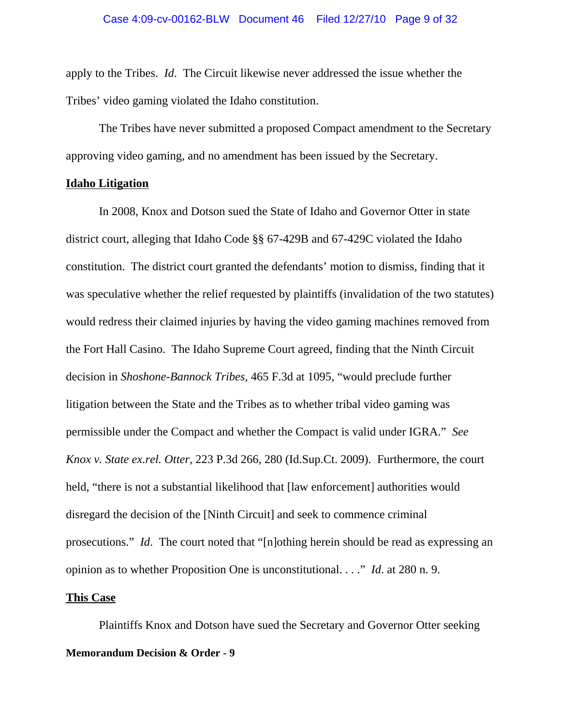apply to the Tribes. *Id*. The Circuit likewise never addressed the issue whether the Tribes' video gaming violated the Idaho constitution.

The Tribes have never submitted a proposed Compact amendment to the Secretary approving video gaming, and no amendment has been issued by the Secretary.

#### **Idaho Litigation**

In 2008, Knox and Dotson sued the State of Idaho and Governor Otter in state district court, alleging that Idaho Code §§ 67-429B and 67-429C violated the Idaho constitution. The district court granted the defendants' motion to dismiss, finding that it was speculative whether the relief requested by plaintiffs (invalidation of the two statutes) would redress their claimed injuries by having the video gaming machines removed from the Fort Hall Casino. The Idaho Supreme Court agreed, finding that the Ninth Circuit decision in *Shoshone-Bannock Tribes*, 465 F.3d at 1095, "would preclude further litigation between the State and the Tribes as to whether tribal video gaming was permissible under the Compact and whether the Compact is valid under IGRA." *See Knox v. State ex.rel. Otter*, 223 P.3d 266, 280 (Id.Sup.Ct. 2009). Furthermore, the court held, "there is not a substantial likelihood that [law enforcement] authorities would disregard the decision of the [Ninth Circuit] and seek to commence criminal prosecutions." *Id*. The court noted that "[n]othing herein should be read as expressing an opinion as to whether Proposition One is unconstitutional. . . ." *Id*. at 280 n. 9.

### **This Case**

Plaintiffs Knox and Dotson have sued the Secretary and Governor Otter seeking **Memorandum Decision & Order - 9**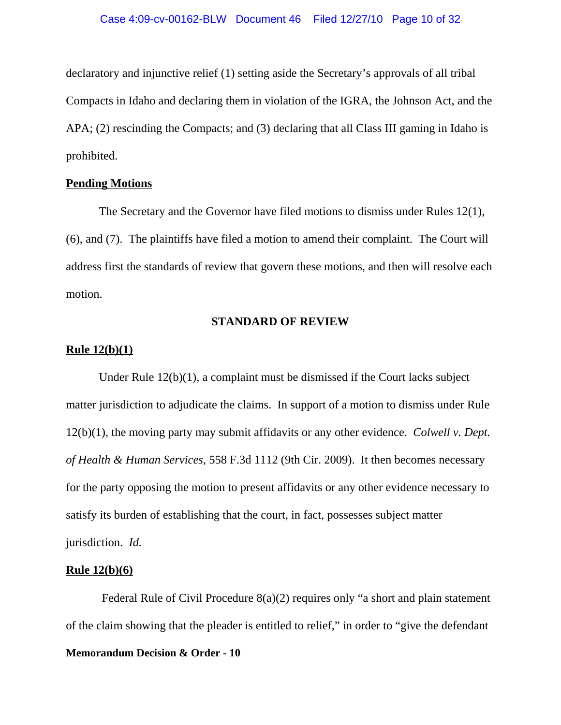declaratory and injunctive relief (1) setting aside the Secretary's approvals of all tribal Compacts in Idaho and declaring them in violation of the IGRA, the Johnson Act, and the APA; (2) rescinding the Compacts; and (3) declaring that all Class III gaming in Idaho is prohibited.

# **Pending Motions**

The Secretary and the Governor have filed motions to dismiss under Rules 12(1), (6), and (7). The plaintiffs have filed a motion to amend their complaint. The Court will address first the standards of review that govern these motions, and then will resolve each motion.

# **STANDARD OF REVIEW**

## **Rule 12(b)(1)**

Under Rule 12(b)(1), a complaint must be dismissed if the Court lacks subject matter jurisdiction to adjudicate the claims. In support of a motion to dismiss under Rule 12(b)(1), the moving party may submit affidavits or any other evidence. *Colwell v. Dept. of Health & Human Services*, 558 F.3d 1112 (9th Cir. 2009). It then becomes necessary for the party opposing the motion to present affidavits or any other evidence necessary to satisfy its burden of establishing that the court, in fact, possesses subject matter jurisdiction. *Id.*

### **Rule 12(b)(6)**

 Federal Rule of Civil Procedure 8(a)(2) requires only "a short and plain statement of the claim showing that the pleader is entitled to relief," in order to "give the defendant **Memorandum Decision & Order - 10**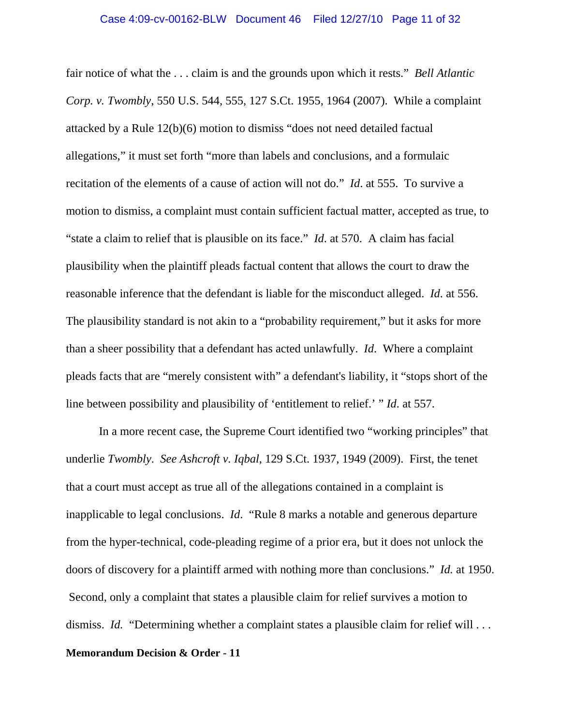fair notice of what the . . . claim is and the grounds upon which it rests." *Bell Atlantic Corp. v. Twombly*, 550 U.S. 544, 555, 127 S.Ct. 1955, 1964 (2007). While a complaint attacked by a Rule 12(b)(6) motion to dismiss "does not need detailed factual allegations," it must set forth "more than labels and conclusions, and a formulaic recitation of the elements of a cause of action will not do." *Id*. at 555. To survive a motion to dismiss, a complaint must contain sufficient factual matter, accepted as true, to "state a claim to relief that is plausible on its face." *Id*. at 570. A claim has facial plausibility when the plaintiff pleads factual content that allows the court to draw the reasonable inference that the defendant is liable for the misconduct alleged. *Id*. at 556. The plausibility standard is not akin to a "probability requirement," but it asks for more than a sheer possibility that a defendant has acted unlawfully. *Id*. Where a complaint pleads facts that are "merely consistent with" a defendant's liability, it "stops short of the line between possibility and plausibility of 'entitlement to relief.' " *Id*. at 557.

In a more recent case, the Supreme Court identified two "working principles" that underlie *Twombly*. *See Ashcroft v. Iqbal*, 129 S.Ct. 1937, 1949 (2009). First, the tenet that a court must accept as true all of the allegations contained in a complaint is inapplicable to legal conclusions. *Id*. "Rule 8 marks a notable and generous departure from the hyper-technical, code-pleading regime of a prior era, but it does not unlock the doors of discovery for a plaintiff armed with nothing more than conclusions." *Id.* at 1950. Second, only a complaint that states a plausible claim for relief survives a motion to dismiss. *Id.* "Determining whether a complaint states a plausible claim for relief will ...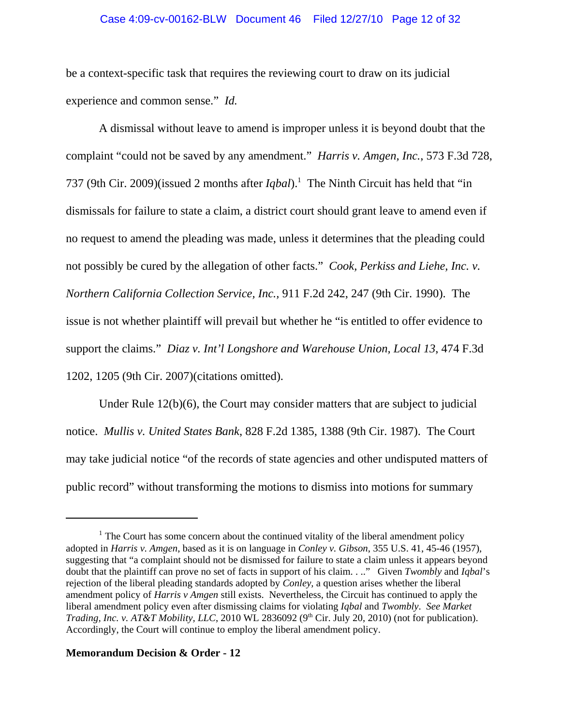### Case 4:09-cv-00162-BLW Document 46 Filed 12/27/10 Page 12 of 32

be a context-specific task that requires the reviewing court to draw on its judicial experience and common sense." *Id.* 

A dismissal without leave to amend is improper unless it is beyond doubt that the complaint "could not be saved by any amendment." *Harris v. Amgen, Inc.*, 573 F.3d 728, 737 (9th Cir. 2009)(issued 2 months after *Iqbal*).1 The Ninth Circuit has held that "in dismissals for failure to state a claim, a district court should grant leave to amend even if no request to amend the pleading was made, unless it determines that the pleading could not possibly be cured by the allegation of other facts." *Cook, Perkiss and Liehe, Inc. v. Northern California Collection Service, Inc.,* 911 F.2d 242, 247 (9th Cir. 1990). The issue is not whether plaintiff will prevail but whether he "is entitled to offer evidence to support the claims." *Diaz v. Int'l Longshore and Warehouse Union, Local 13*, 474 F.3d 1202, 1205 (9th Cir. 2007)(citations omitted).

Under Rule 12(b)(6), the Court may consider matters that are subject to judicial notice. *Mullis v. United States Bank*, 828 F.2d 1385, 1388 (9th Cir. 1987). The Court may take judicial notice "of the records of state agencies and other undisputed matters of public record" without transforming the motions to dismiss into motions for summary

<sup>&</sup>lt;sup>1</sup> The Court has some concern about the continued vitality of the liberal amendment policy adopted in *Harris v. Amgen*, based as it is on language in *Conley v. Gibson*, 355 U.S. 41, 45-46 (1957), suggesting that "a complaint should not be dismissed for failure to state a claim unless it appears beyond doubt that the plaintiff can prove no set of facts in support of his claim. . .." Given *Twombly* and *Iqbal*'s rejection of the liberal pleading standards adopted by *Conley,* a question arises whether the liberal amendment policy of *Harris v Amgen* still exists. Nevertheless, the Circuit has continued to apply the liberal amendment policy even after dismissing claims for violating *Iqbal* and *Twombly*. *See Market Trading, Inc. v. AT&T Mobility, LLC*, 2010 WL 2836092 (9<sup>th</sup> Cir. July 20, 2010) (not for publication). Accordingly, the Court will continue to employ the liberal amendment policy.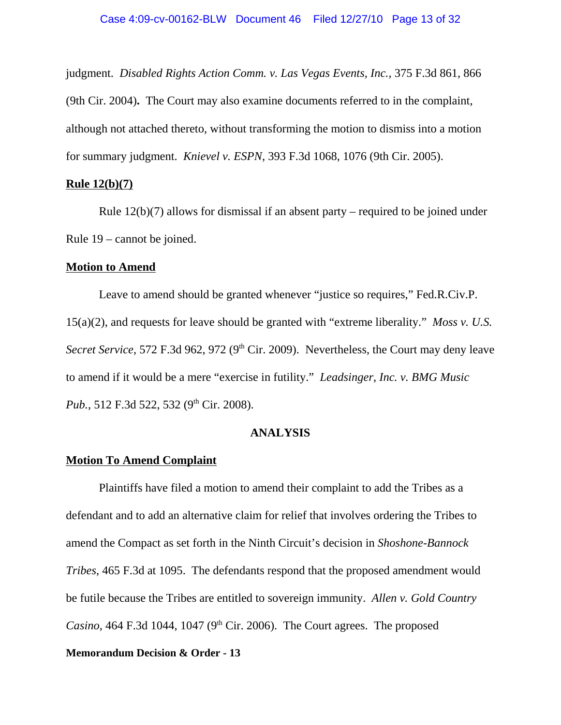judgment. *Disabled Rights Action Comm. v. Las Vegas Events, Inc.,* 375 F.3d 861, 866 (9th Cir. 2004)**.** The Court may also examine documents referred to in the complaint, although not attached thereto, without transforming the motion to dismiss into a motion for summary judgment. *Knievel v. ESPN*, 393 F.3d 1068, 1076 (9th Cir. 2005).

#### **Rule 12(b)(7)**

Rule  $12(b)(7)$  allows for dismissal if an absent party – required to be joined under Rule 19 – cannot be joined.

### **Motion to Amend**

Leave to amend should be granted whenever "justice so requires," Fed.R.Civ.P. 15(a)(2), and requests for leave should be granted with "extreme liberality." *Moss v. U.S. Secret Service*, 572 F.3d 962, 972 (9<sup>th</sup> Cir. 2009). Nevertheless, the Court may deny leave to amend if it would be a mere "exercise in futility." *Leadsinger, Inc. v. BMG Music Pub.*, 512 F.3d 522, 532 (9<sup>th</sup> Cir. 2008).

### **ANALYSIS**

# **Motion To Amend Complaint**

Plaintiffs have filed a motion to amend their complaint to add the Tribes as a defendant and to add an alternative claim for relief that involves ordering the Tribes to amend the Compact as set forth in the Ninth Circuit's decision in *Shoshone-Bannock Tribes*, 465 F.3d at 1095. The defendants respond that the proposed amendment would be futile because the Tribes are entitled to sovereign immunity. *Allen v. Gold Country Casino*, 464 F.3d 1044, 1047 ( $9<sup>th</sup>$  Cir. 2006). The Court agrees. The proposed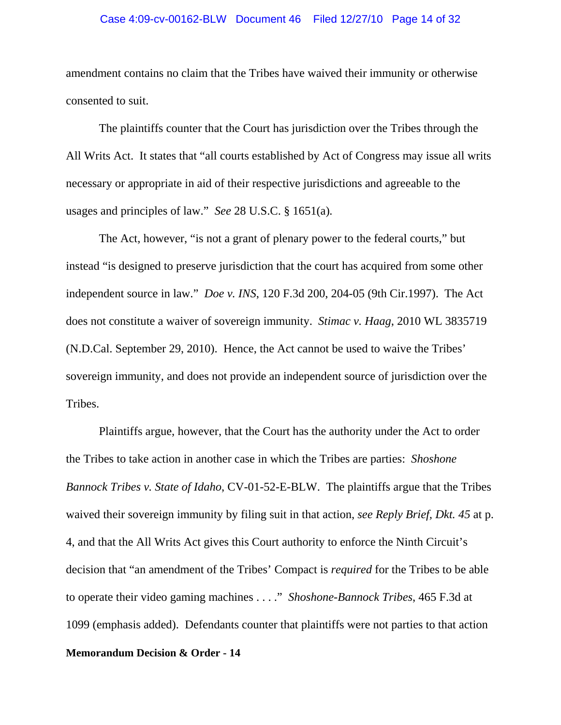#### Case 4:09-cv-00162-BLW Document 46 Filed 12/27/10 Page 14 of 32

amendment contains no claim that the Tribes have waived their immunity or otherwise consented to suit.

The plaintiffs counter that the Court has jurisdiction over the Tribes through the All Writs Act. It states that "all courts established by Act of Congress may issue all writs necessary or appropriate in aid of their respective jurisdictions and agreeable to the usages and principles of law." *See* 28 U.S.C. § 1651(a)*.* 

The Act, however, "is not a grant of plenary power to the federal courts," but instead "is designed to preserve jurisdiction that the court has acquired from some other independent source in law." *Doe v. INS*, 120 F.3d 200, 204-05 (9th Cir.1997). The Act does not constitute a waiver of sovereign immunity. *Stimac v. Haag*, 2010 WL 3835719 (N.D.Cal. September 29, 2010). Hence, the Act cannot be used to waive the Tribes' sovereign immunity, and does not provide an independent source of jurisdiction over the Tribes.

Plaintiffs argue, however, that the Court has the authority under the Act to order the Tribes to take action in another case in which the Tribes are parties: *Shoshone Bannock Tribes v. State of Idaho*, CV-01-52-E-BLW. The plaintiffs argue that the Tribes waived their sovereign immunity by filing suit in that action, *see Reply Brief, Dkt. 45* at p. 4, and that the All Writs Act gives this Court authority to enforce the Ninth Circuit's decision that "an amendment of the Tribes' Compact is *required* for the Tribes to be able to operate their video gaming machines . . . ." *Shoshone-Bannock Tribes*, 465 F.3d at 1099 (emphasis added). Defendants counter that plaintiffs were not parties to that action **Memorandum Decision & Order - 14**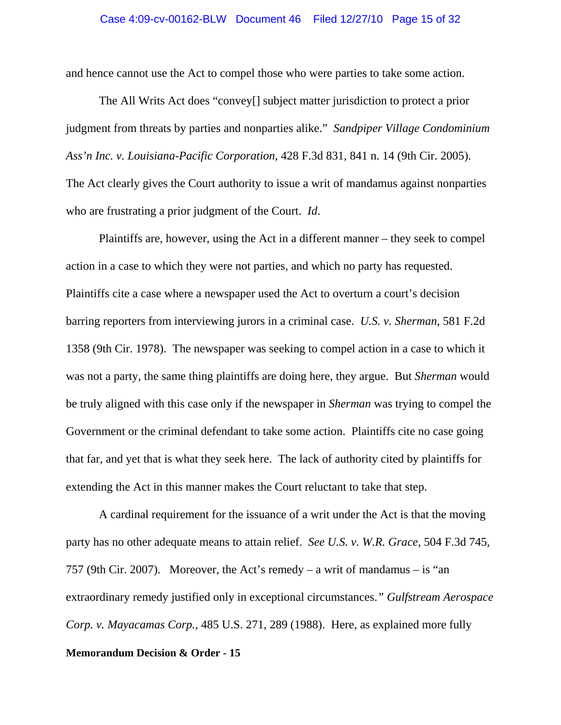and hence cannot use the Act to compel those who were parties to take some action.

The All Writs Act does "convey[] subject matter jurisdiction to protect a prior judgment from threats by parties and nonparties alike." *Sandpiper Village Condominium Ass'n Inc. v. Louisiana-Pacific Corporation*, 428 F.3d 831, 841 n. 14 (9th Cir. 2005). The Act clearly gives the Court authority to issue a writ of mandamus against nonparties who are frustrating a prior judgment of the Court. *Id*.

Plaintiffs are, however, using the Act in a different manner – they seek to compel action in a case to which they were not parties, and which no party has requested. Plaintiffs cite a case where a newspaper used the Act to overturn a court's decision barring reporters from interviewing jurors in a criminal case. *U.S. v. Sherman*, 581 F.2d 1358 (9th Cir. 1978). The newspaper was seeking to compel action in a case to which it was not a party, the same thing plaintiffs are doing here, they argue. But *Sherman* would be truly aligned with this case only if the newspaper in *Sherman* was trying to compel the Government or the criminal defendant to take some action. Plaintiffs cite no case going that far, and yet that is what they seek here. The lack of authority cited by plaintiffs for extending the Act in this manner makes the Court reluctant to take that step.

A cardinal requirement for the issuance of a writ under the Act is that the moving party has no other adequate means to attain relief. *See U.S. v. W.R. Grace*, 504 F.3d 745, 757 (9th Cir. 2007). Moreover, the Act's remedy – a writ of mandamus – is "an extraordinary remedy justified only in exceptional circumstances.*" Gulfstream Aerospace Corp. v. Mayacamas Corp.,* 485 U.S. 271, 289 (1988). Here, as explained more fully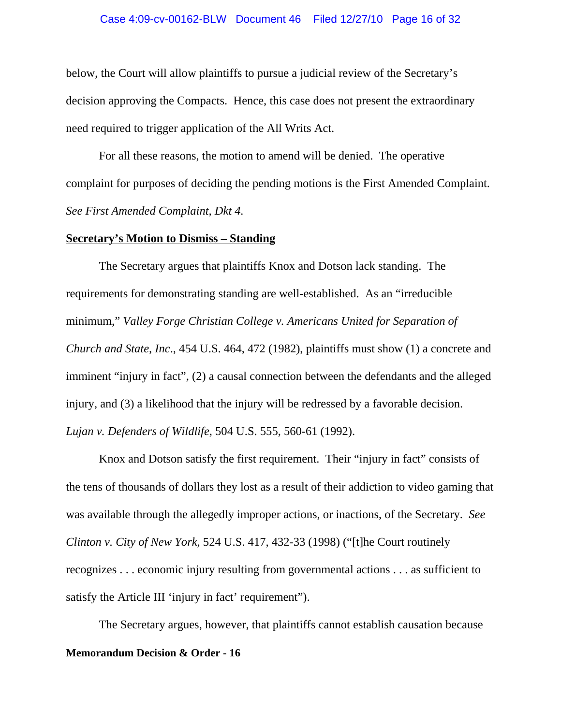#### Case 4:09-cv-00162-BLW Document 46 Filed 12/27/10 Page 16 of 32

below, the Court will allow plaintiffs to pursue a judicial review of the Secretary's decision approving the Compacts. Hence, this case does not present the extraordinary need required to trigger application of the All Writs Act.

For all these reasons, the motion to amend will be denied. The operative complaint for purposes of deciding the pending motions is the First Amended Complaint. *See First Amended Complaint, Dkt 4.*

# **Secretary's Motion to Dismiss – Standing**

The Secretary argues that plaintiffs Knox and Dotson lack standing. The requirements for demonstrating standing are well-established. As an "irreducible minimum," *Valley Forge Christian College v. Americans United for Separation of Church and State, Inc*., 454 U.S. 464, 472 (1982), plaintiffs must show (1) a concrete and imminent "injury in fact", (2) a causal connection between the defendants and the alleged injury, and (3) a likelihood that the injury will be redressed by a favorable decision. *Lujan v. Defenders of Wildlife*, 504 U.S. 555, 560-61 (1992).

Knox and Dotson satisfy the first requirement. Their "injury in fact" consists of the tens of thousands of dollars they lost as a result of their addiction to video gaming that was available through the allegedly improper actions, or inactions, of the Secretary. *See Clinton v. City of New York*, 524 U.S. 417, 432-33 (1998) ("[t]he Court routinely recognizes . . . economic injury resulting from governmental actions . . . as sufficient to satisfy the Article III 'injury in fact' requirement").

The Secretary argues, however, that plaintiffs cannot establish causation because **Memorandum Decision & Order - 16**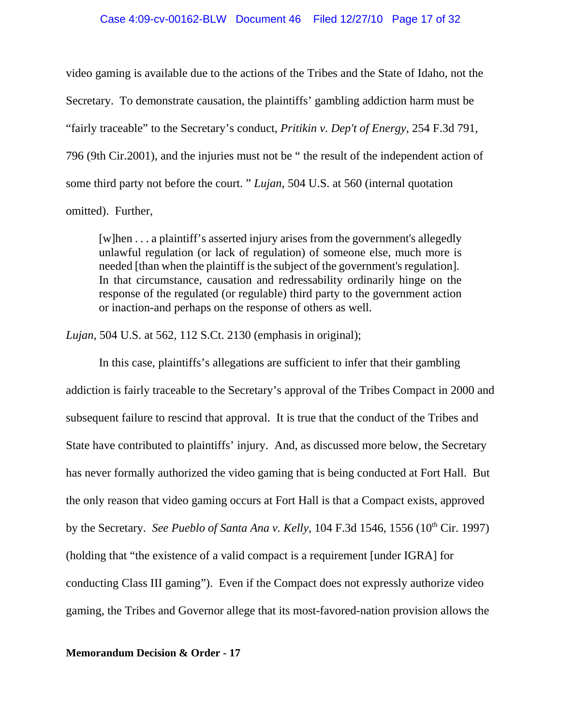#### Case 4:09-cv-00162-BLW Document 46 Filed 12/27/10 Page 17 of 32

video gaming is available due to the actions of the Tribes and the State of Idaho, not the Secretary. To demonstrate causation, the plaintiffs' gambling addiction harm must be "fairly traceable" to the Secretary's conduct, *Pritikin v. Dep't of Energy*, 254 F.3d 791, 796 (9th Cir.2001), and the injuries must not be " the result of the independent action of some third party not before the court. " *Lujan,* 504 U.S. at 560 (internal quotation omitted). Further,

[w]hen . . . a plaintiff's asserted injury arises from the government's allegedly unlawful regulation (or lack of regulation) of someone else, much more is needed [than when the plaintiff is the subject of the government's regulation]. In that circumstance, causation and redressability ordinarily hinge on the response of the regulated (or regulable) third party to the government action or inaction-and perhaps on the response of others as well.

*Lujan*, 504 U.S. at 562, 112 S.Ct. 2130 (emphasis in original);

In this case, plaintiffs's allegations are sufficient to infer that their gambling addiction is fairly traceable to the Secretary's approval of the Tribes Compact in 2000 and subsequent failure to rescind that approval. It is true that the conduct of the Tribes and State have contributed to plaintiffs' injury. And, as discussed more below, the Secretary has never formally authorized the video gaming that is being conducted at Fort Hall. But the only reason that video gaming occurs at Fort Hall is that a Compact exists, approved by the Secretary. *See Pueblo of Santa Ana v. Kelly*, 104 F.3d 1546, 1556 (10<sup>th</sup> Cir. 1997) (holding that "the existence of a valid compact is a requirement [under IGRA] for conducting Class III gaming"). Even if the Compact does not expressly authorize video gaming, the Tribes and Governor allege that its most-favored-nation provision allows the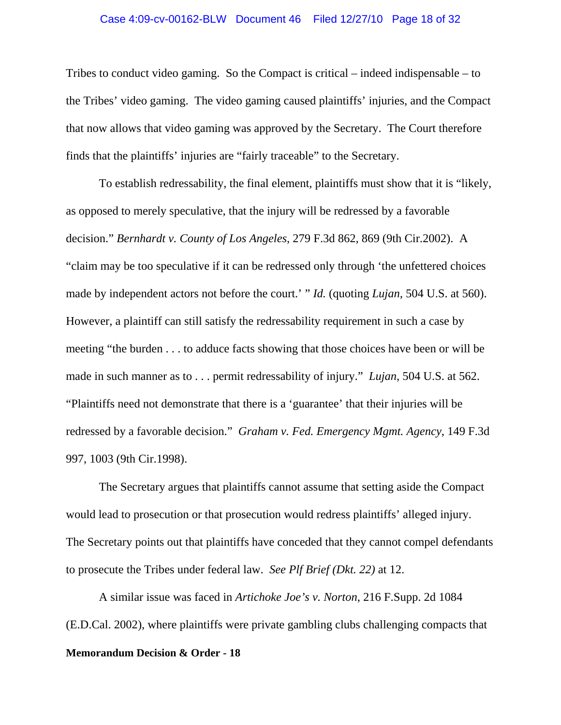#### Case 4:09-cv-00162-BLW Document 46 Filed 12/27/10 Page 18 of 32

Tribes to conduct video gaming. So the Compact is critical – indeed indispensable – to the Tribes' video gaming. The video gaming caused plaintiffs' injuries, and the Compact that now allows that video gaming was approved by the Secretary. The Court therefore finds that the plaintiffs' injuries are "fairly traceable" to the Secretary.

To establish redressability, the final element, plaintiffs must show that it is "likely, as opposed to merely speculative, that the injury will be redressed by a favorable decision." *Bernhardt v. County of Los Angeles*, 279 F.3d 862, 869 (9th Cir.2002). A "claim may be too speculative if it can be redressed only through 'the unfettered choices made by independent actors not before the court.' " *Id.* (quoting *Lujan,* 504 U.S. at 560). However, a plaintiff can still satisfy the redressability requirement in such a case by meeting "the burden . . . to adduce facts showing that those choices have been or will be made in such manner as to . . . permit redressability of injury." *Lujan*, 504 U.S. at 562. "Plaintiffs need not demonstrate that there is a 'guarantee' that their injuries will be redressed by a favorable decision." *Graham v. Fed. Emergency Mgmt. Agency*, 149 F.3d 997, 1003 (9th Cir.1998).

The Secretary argues that plaintiffs cannot assume that setting aside the Compact would lead to prosecution or that prosecution would redress plaintiffs' alleged injury. The Secretary points out that plaintiffs have conceded that they cannot compel defendants to prosecute the Tribes under federal law. *See Plf Brief (Dkt. 22)* at 12.

A similar issue was faced in *Artichoke Joe's v. Norton*, 216 F.Supp. 2d 1084 (E.D.Cal. 2002), where plaintiffs were private gambling clubs challenging compacts that **Memorandum Decision & Order - 18**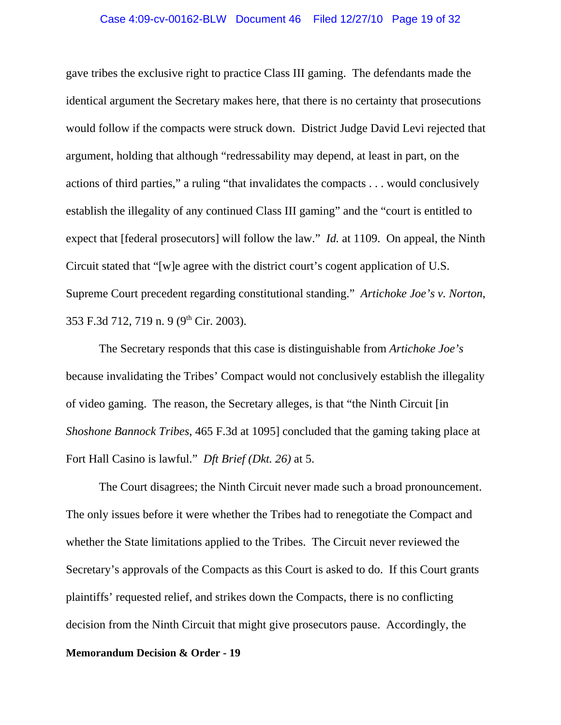#### Case 4:09-cv-00162-BLW Document 46 Filed 12/27/10 Page 19 of 32

gave tribes the exclusive right to practice Class III gaming. The defendants made the identical argument the Secretary makes here, that there is no certainty that prosecutions would follow if the compacts were struck down. District Judge David Levi rejected that argument, holding that although "redressability may depend, at least in part, on the actions of third parties," a ruling "that invalidates the compacts . . . would conclusively establish the illegality of any continued Class III gaming" and the "court is entitled to expect that [federal prosecutors] will follow the law." *Id.* at 1109. On appeal, the Ninth Circuit stated that "[w]e agree with the district court's cogent application of U.S. Supreme Court precedent regarding constitutional standing." *Artichoke Joe's v. Norton*, 353 F.3d 712, 719 n. 9 (9<sup>th</sup> Cir. 2003).

The Secretary responds that this case is distinguishable from *Artichoke Joe's* because invalidating the Tribes' Compact would not conclusively establish the illegality of video gaming. The reason, the Secretary alleges, is that "the Ninth Circuit [in *Shoshone Bannock Tribes*, 465 F.3d at 1095] concluded that the gaming taking place at Fort Hall Casino is lawful." *Dft Brief (Dkt. 26)* at 5.

The Court disagrees; the Ninth Circuit never made such a broad pronouncement. The only issues before it were whether the Tribes had to renegotiate the Compact and whether the State limitations applied to the Tribes. The Circuit never reviewed the Secretary's approvals of the Compacts as this Court is asked to do. If this Court grants plaintiffs' requested relief, and strikes down the Compacts, there is no conflicting decision from the Ninth Circuit that might give prosecutors pause. Accordingly, the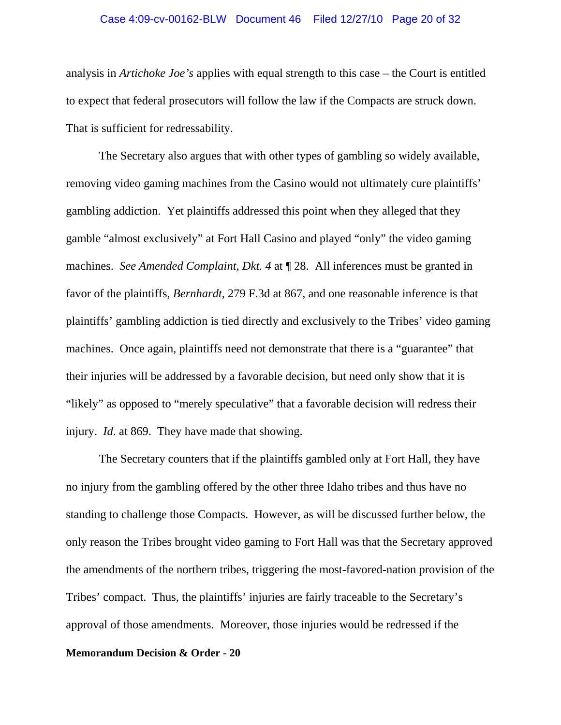#### Case 4:09-cv-00162-BLW Document 46 Filed 12/27/10 Page 20 of 32

analysis in *Artichoke Joe's* applies with equal strength to this case – the Court is entitled to expect that federal prosecutors will follow the law if the Compacts are struck down. That is sufficient for redressability.

The Secretary also argues that with other types of gambling so widely available, removing video gaming machines from the Casino would not ultimately cure plaintiffs' gambling addiction. Yet plaintiffs addressed this point when they alleged that they gamble "almost exclusively" at Fort Hall Casino and played "only" the video gaming machines. *See Amended Complaint, Dkt. 4* at ¶ 28. All inferences must be granted in favor of the plaintiffs, *Bernhardt,* 279 F.3d at 867, and one reasonable inference is that plaintiffs' gambling addiction is tied directly and exclusively to the Tribes' video gaming machines. Once again, plaintiffs need not demonstrate that there is a "guarantee" that their injuries will be addressed by a favorable decision, but need only show that it is "likely" as opposed to "merely speculative" that a favorable decision will redress their injury. *Id*. at 869. They have made that showing.

The Secretary counters that if the plaintiffs gambled only at Fort Hall, they have no injury from the gambling offered by the other three Idaho tribes and thus have no standing to challenge those Compacts. However, as will be discussed further below, the only reason the Tribes brought video gaming to Fort Hall was that the Secretary approved the amendments of the northern tribes, triggering the most-favored-nation provision of the Tribes' compact. Thus, the plaintiffs' injuries are fairly traceable to the Secretary's approval of those amendments. Moreover, those injuries would be redressed if the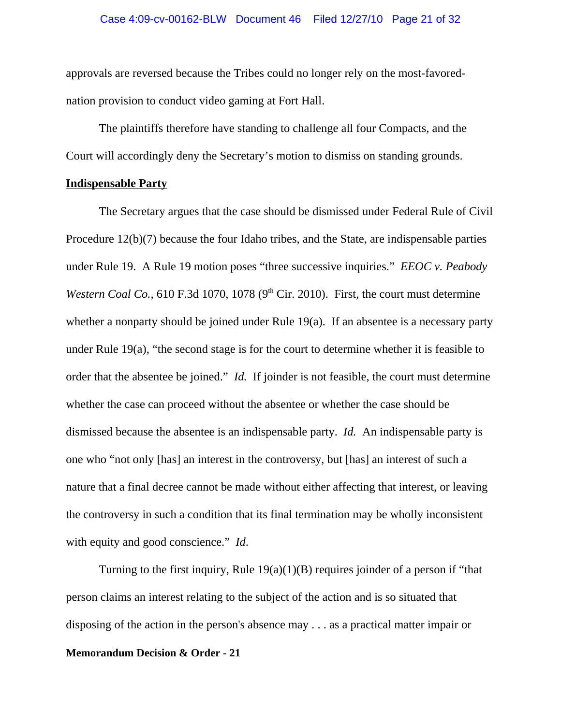#### Case 4:09-cv-00162-BLW Document 46 Filed 12/27/10 Page 21 of 32

approvals are reversed because the Tribes could no longer rely on the most-favorednation provision to conduct video gaming at Fort Hall.

The plaintiffs therefore have standing to challenge all four Compacts, and the Court will accordingly deny the Secretary's motion to dismiss on standing grounds.

#### **Indispensable Party**

The Secretary argues that the case should be dismissed under Federal Rule of Civil Procedure 12(b)(7) because the four Idaho tribes, and the State, are indispensable parties under Rule 19. A Rule 19 motion poses "three successive inquiries." *EEOC v. Peabody Western Coal Co.*, 610 F.3d 1070, 1078 (9<sup>th</sup> Cir. 2010). First, the court must determine whether a nonparty should be joined under Rule 19(a). If an absentee is a necessary party under Rule 19(a), "the second stage is for the court to determine whether it is feasible to order that the absentee be joined." *Id.* If joinder is not feasible, the court must determine whether the case can proceed without the absentee or whether the case should be dismissed because the absentee is an indispensable party. *Id.* An indispensable party is one who "not only [has] an interest in the controversy, but [has] an interest of such a nature that a final decree cannot be made without either affecting that interest, or leaving the controversy in such a condition that its final termination may be wholly inconsistent with equity and good conscience." *Id*.

Turning to the first inquiry, Rule 19(a)(1)(B) requires joinder of a person if "that person claims an interest relating to the subject of the action and is so situated that disposing of the action in the person's absence may . . . as a practical matter impair or **Memorandum Decision & Order - 21**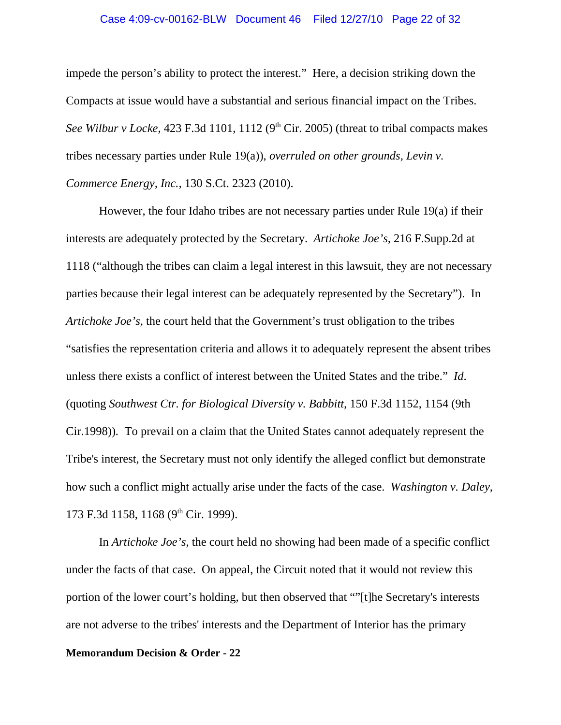#### Case 4:09-cv-00162-BLW Document 46 Filed 12/27/10 Page 22 of 32

impede the person's ability to protect the interest." Here, a decision striking down the Compacts at issue would have a substantial and serious financial impact on the Tribes. *See Wilbur v Locke*, 423 F.3d 1101, 1112 (9<sup>th</sup> Cir. 2005) (threat to tribal compacts makes tribes necessary parties under Rule 19(a)), *overruled on other grounds, Levin v. Commerce Energy, Inc.,* 130 S.Ct. 2323 (2010).

However, the four Idaho tribes are not necessary parties under Rule 19(a) if their interests are adequately protected by the Secretary. *Artichoke Joe's,* 216 F.Supp.2d at 1118 ("although the tribes can claim a legal interest in this lawsuit, they are not necessary parties because their legal interest can be adequately represented by the Secretary"). In *Artichoke Joe's*, the court held that the Government's trust obligation to the tribes "satisfies the representation criteria and allows it to adequately represent the absent tribes unless there exists a conflict of interest between the United States and the tribe." *Id*. (quoting *Southwest Ctr. for Biological Diversity v. Babbitt,* 150 F.3d 1152, 1154 (9th Cir.1998))*.* To prevail on a claim that the United States cannot adequately represent the Tribe's interest, the Secretary must not only identify the alleged conflict but demonstrate how such a conflict might actually arise under the facts of the case. *Washington v. Daley*, 173 F.3d 1158, 1168 (9<sup>th</sup> Cir. 1999).

In *Artichoke Joe's*, the court held no showing had been made of a specific conflict under the facts of that case. On appeal, the Circuit noted that it would not review this portion of the lower court's holding, but then observed that ""[t]he Secretary's interests are not adverse to the tribes' interests and the Department of Interior has the primary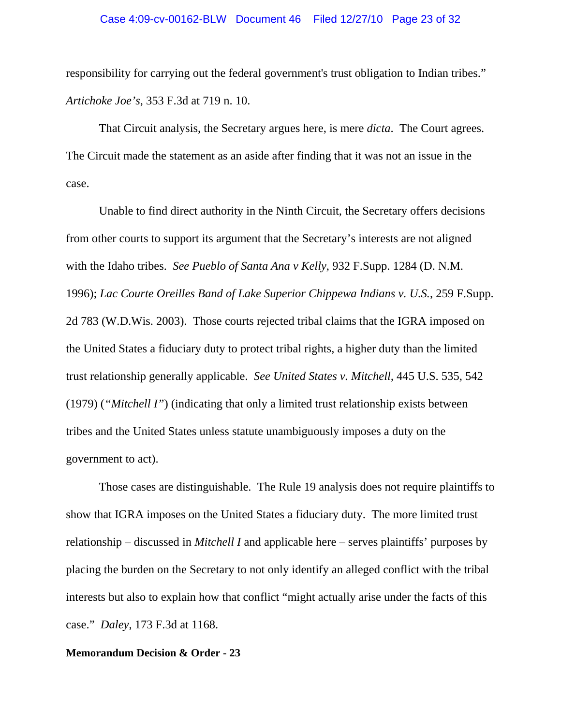responsibility for carrying out the federal government's trust obligation to Indian tribes." *Artichoke Joe's*, 353 F.3d at 719 n. 10.

That Circuit analysis, the Secretary argues here, is mere *dicta*. The Court agrees. The Circuit made the statement as an aside after finding that it was not an issue in the case.

Unable to find direct authority in the Ninth Circuit, the Secretary offers decisions from other courts to support its argument that the Secretary's interests are not aligned with the Idaho tribes. *See Pueblo of Santa Ana v Kelly*, 932 F.Supp. 1284 (D. N.M. 1996); *Lac Courte Oreilles Band of Lake Superior Chippewa Indians v. U.S.*, 259 F.Supp. 2d 783 (W.D.Wis. 2003). Those courts rejected tribal claims that the IGRA imposed on the United States a fiduciary duty to protect tribal rights, a higher duty than the limited trust relationship generally applicable. *See United States v. Mitchell,* 445 U.S. 535, 542 (1979) (*"Mitchell I"*) (indicating that only a limited trust relationship exists between tribes and the United States unless statute unambiguously imposes a duty on the government to act).

Those cases are distinguishable. The Rule 19 analysis does not require plaintiffs to show that IGRA imposes on the United States a fiduciary duty. The more limited trust relationship – discussed in *Mitchell I* and applicable here – serves plaintiffs' purposes by placing the burden on the Secretary to not only identify an alleged conflict with the tribal interests but also to explain how that conflict "might actually arise under the facts of this case." *Daley*, 173 F.3d at 1168.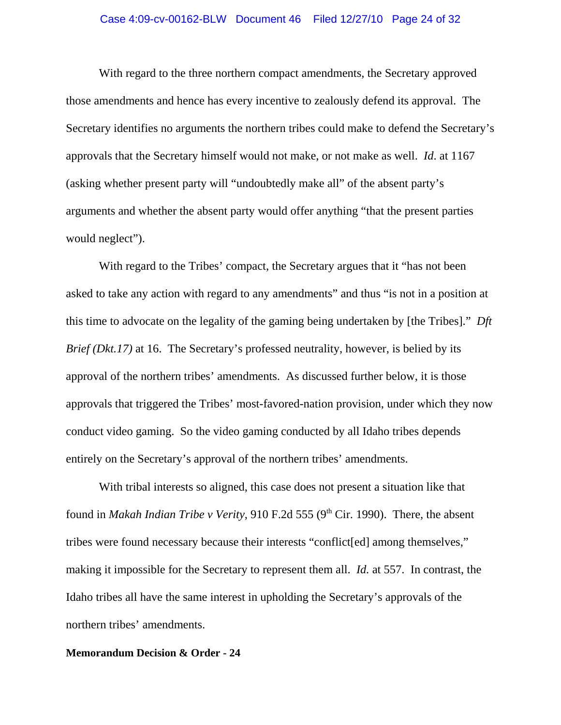# Case 4:09-cv-00162-BLW Document 46 Filed 12/27/10 Page 24 of 32

With regard to the three northern compact amendments, the Secretary approved those amendments and hence has every incentive to zealously defend its approval. The Secretary identifies no arguments the northern tribes could make to defend the Secretary's approvals that the Secretary himself would not make, or not make as well. *Id*. at 1167 (asking whether present party will "undoubtedly make all" of the absent party's arguments and whether the absent party would offer anything "that the present parties would neglect").

With regard to the Tribes' compact, the Secretary argues that it "has not been asked to take any action with regard to any amendments" and thus "is not in a position at this time to advocate on the legality of the gaming being undertaken by [the Tribes]." *Dft Brief (Dkt.17)* at 16. The Secretary's professed neutrality, however, is belied by its approval of the northern tribes' amendments. As discussed further below, it is those approvals that triggered the Tribes' most-favored-nation provision, under which they now conduct video gaming. So the video gaming conducted by all Idaho tribes depends entirely on the Secretary's approval of the northern tribes' amendments.

With tribal interests so aligned, this case does not present a situation like that found in *Makah Indian Tribe v Verity*, 910 F.2d 555 (9<sup>th</sup> Cir. 1990). There, the absent tribes were found necessary because their interests "conflict[ed] among themselves," making it impossible for the Secretary to represent them all. *Id.* at 557. In contrast, the Idaho tribes all have the same interest in upholding the Secretary's approvals of the northern tribes' amendments.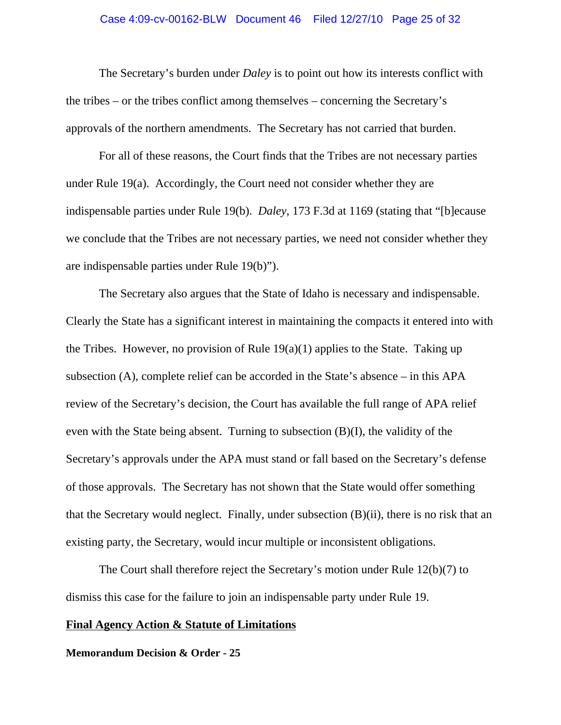#### Case 4:09-cv-00162-BLW Document 46 Filed 12/27/10 Page 25 of 32

The Secretary's burden under *Daley* is to point out how its interests conflict with the tribes – or the tribes conflict among themselves – concerning the Secretary's approvals of the northern amendments. The Secretary has not carried that burden.

For all of these reasons, the Court finds that the Tribes are not necessary parties under Rule 19(a). Accordingly, the Court need not consider whether they are indispensable parties under Rule 19(b). *Daley*, 173 F.3d at 1169 (stating that "[b]ecause we conclude that the Tribes are not necessary parties, we need not consider whether they are indispensable parties under Rule 19(b)").

The Secretary also argues that the State of Idaho is necessary and indispensable. Clearly the State has a significant interest in maintaining the compacts it entered into with the Tribes. However, no provision of Rule  $19(a)(1)$  applies to the State. Taking up subsection (A), complete relief can be accorded in the State's absence – in this APA review of the Secretary's decision, the Court has available the full range of APA relief even with the State being absent. Turning to subsection (B)(I), the validity of the Secretary's approvals under the APA must stand or fall based on the Secretary's defense of those approvals. The Secretary has not shown that the State would offer something that the Secretary would neglect. Finally, under subsection (B)(ii), there is no risk that an existing party, the Secretary, would incur multiple or inconsistent obligations.

The Court shall therefore reject the Secretary's motion under Rule 12(b)(7) to dismiss this case for the failure to join an indispensable party under Rule 19.

### **Final Agency Action & Statute of Limitations**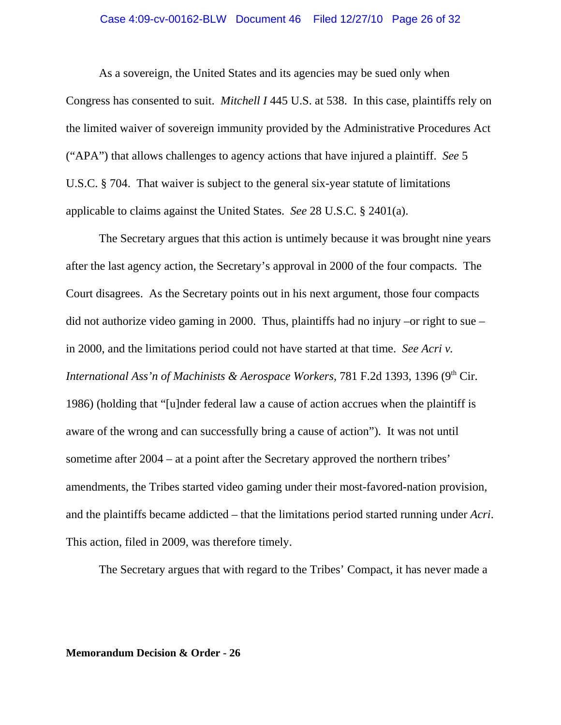# Case 4:09-cv-00162-BLW Document 46 Filed 12/27/10 Page 26 of 32

As a sovereign, the United States and its agencies may be sued only when Congress has consented to suit. *Mitchell I* 445 U.S. at 538. In this case, plaintiffs rely on the limited waiver of sovereign immunity provided by the Administrative Procedures Act ("APA") that allows challenges to agency actions that have injured a plaintiff. *See* 5 U.S.C. § 704. That waiver is subject to the general six-year statute of limitations applicable to claims against the United States. *See* 28 U.S.C. § 2401(a).

The Secretary argues that this action is untimely because it was brought nine years after the last agency action, the Secretary's approval in 2000 of the four compacts. The Court disagrees. As the Secretary points out in his next argument, those four compacts did not authorize video gaming in 2000. Thus, plaintiffs had no injury –or right to sue – in 2000, and the limitations period could not have started at that time. *See Acri v. International Ass'n of Machinists & Aerospace Workers*, 781 F.2d 1393, 1396 (9<sup>th</sup> Cir. 1986) (holding that "[u]nder federal law a cause of action accrues when the plaintiff is aware of the wrong and can successfully bring a cause of action"). It was not until sometime after 2004 – at a point after the Secretary approved the northern tribes' amendments, the Tribes started video gaming under their most-favored-nation provision, and the plaintiffs became addicted – that the limitations period started running under *Acri*. This action, filed in 2009, was therefore timely.

The Secretary argues that with regard to the Tribes' Compact, it has never made a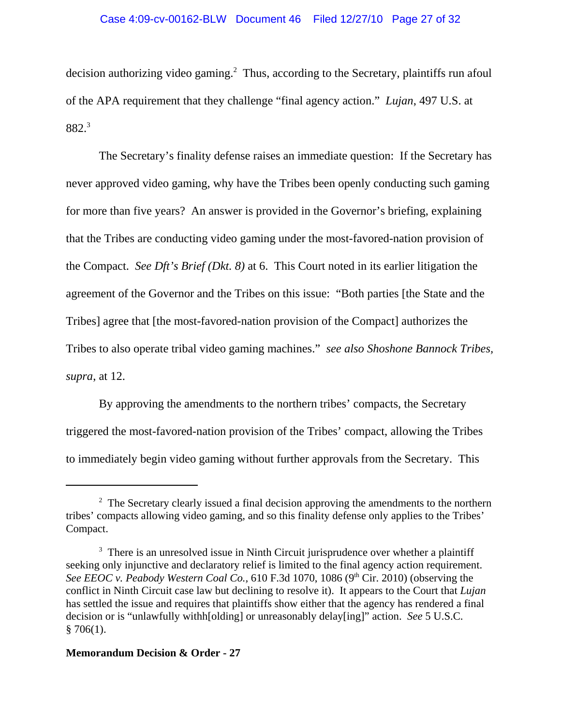decision authorizing video gaming.<sup>2</sup> Thus, according to the Secretary, plaintiffs run afoul of the APA requirement that they challenge "final agency action." *Lujan*, 497 U.S. at 882.3

The Secretary's finality defense raises an immediate question: If the Secretary has never approved video gaming, why have the Tribes been openly conducting such gaming for more than five years? An answer is provided in the Governor's briefing, explaining that the Tribes are conducting video gaming under the most-favored-nation provision of the Compact. *See Dft's Brief (Dkt. 8)* at 6. This Court noted in its earlier litigation the agreement of the Governor and the Tribes on this issue: "Both parties [the State and the Tribes] agree that [the most-favored-nation provision of the Compact] authorizes the Tribes to also operate tribal video gaming machines." *see also Shoshone Bannock Tribes, supra*, at 12.

By approving the amendments to the northern tribes' compacts, the Secretary triggered the most-favored-nation provision of the Tribes' compact, allowing the Tribes to immediately begin video gaming without further approvals from the Secretary. This

 $2<sup>2</sup>$  The Secretary clearly issued a final decision approving the amendments to the northern tribes' compacts allowing video gaming, and so this finality defense only applies to the Tribes' Compact.

 $3$  There is an unresolved issue in Ninth Circuit jurisprudence over whether a plaintiff seeking only injunctive and declaratory relief is limited to the final agency action requirement. See EEOC v. Peabody Western Coal Co., 610 F.3d 1070, 1086 (9<sup>th</sup> Cir. 2010) (observing the conflict in Ninth Circuit case law but declining to resolve it). It appears to the Court that *Lujan* has settled the issue and requires that plaintiffs show either that the agency has rendered a final decision or is "unlawfully withh[olding] or unreasonably delay[ing]" action. *See* 5 U.S.C.  $$706(1).$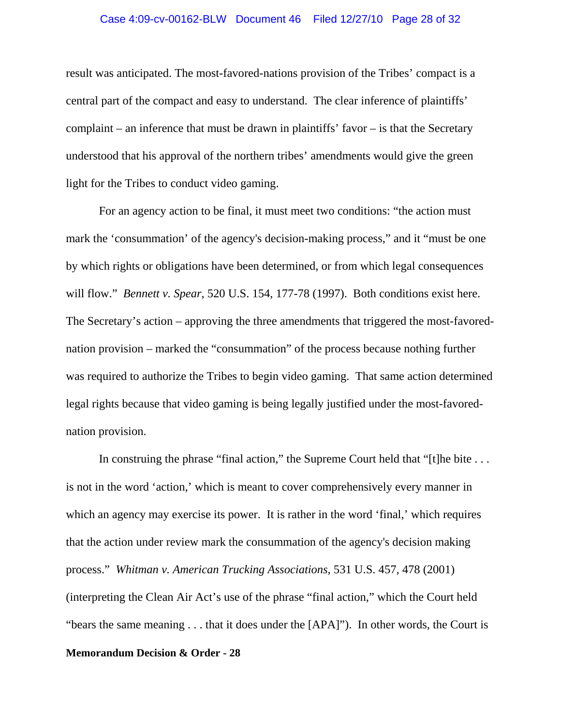#### Case 4:09-cv-00162-BLW Document 46 Filed 12/27/10 Page 28 of 32

result was anticipated. The most-favored-nations provision of the Tribes' compact is a central part of the compact and easy to understand. The clear inference of plaintiffs' complaint – an inference that must be drawn in plaintiffs' favor – is that the Secretary understood that his approval of the northern tribes' amendments would give the green light for the Tribes to conduct video gaming.

For an agency action to be final, it must meet two conditions: "the action must mark the 'consummation' of the agency's decision-making process," and it "must be one by which rights or obligations have been determined, or from which legal consequences will flow." *Bennett v. Spear*, 520 U.S. 154, 177-78 (1997). Both conditions exist here. The Secretary's action – approving the three amendments that triggered the most-favorednation provision – marked the "consummation" of the process because nothing further was required to authorize the Tribes to begin video gaming. That same action determined legal rights because that video gaming is being legally justified under the most-favorednation provision.

In construing the phrase "final action," the Supreme Court held that "[t]he bite ... is not in the word 'action,' which is meant to cover comprehensively every manner in which an agency may exercise its power. It is rather in the word 'final,' which requires that the action under review mark the consummation of the agency's decision making process." *Whitman v. American Trucking Associations*, 531 U.S. 457, 478 (2001) (interpreting the Clean Air Act's use of the phrase "final action," which the Court held "bears the same meaning . . . that it does under the [APA]"). In other words, the Court is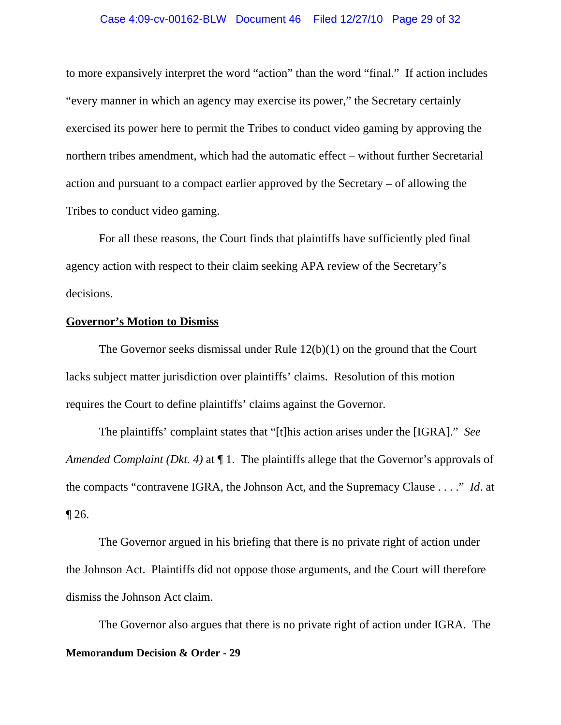#### Case 4:09-cv-00162-BLW Document 46 Filed 12/27/10 Page 29 of 32

to more expansively interpret the word "action" than the word "final." If action includes "every manner in which an agency may exercise its power," the Secretary certainly exercised its power here to permit the Tribes to conduct video gaming by approving the northern tribes amendment, which had the automatic effect – without further Secretarial action and pursuant to a compact earlier approved by the Secretary – of allowing the Tribes to conduct video gaming.

For all these reasons, the Court finds that plaintiffs have sufficiently pled final agency action with respect to their claim seeking APA review of the Secretary's decisions.

### **Governor's Motion to Dismiss**

The Governor seeks dismissal under Rule 12(b)(1) on the ground that the Court lacks subject matter jurisdiction over plaintiffs' claims. Resolution of this motion requires the Court to define plaintiffs' claims against the Governor.

The plaintiffs' complaint states that "[t]his action arises under the [IGRA]." *See Amended Complaint (Dkt. 4)* at  $\P$  1. The plaintiffs allege that the Governor's approvals of the compacts "contravene IGRA, the Johnson Act, and the Supremacy Clause . . . ." *Id*. at ¶ 26.

The Governor argued in his briefing that there is no private right of action under the Johnson Act. Plaintiffs did not oppose those arguments, and the Court will therefore dismiss the Johnson Act claim.

The Governor also argues that there is no private right of action under IGRA. The **Memorandum Decision & Order - 29**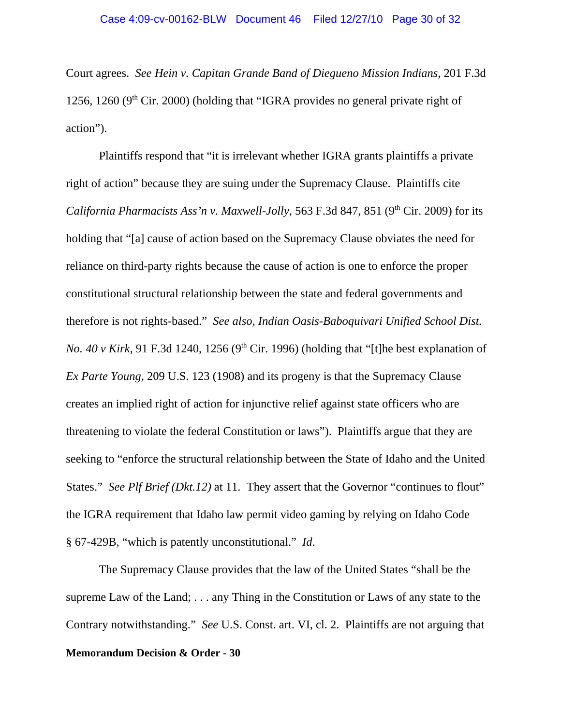Court agrees. *See Hein v. Capitan Grande Band of Diegueno Mission Indians*, 201 F.3d 1256, 1260 ( $9<sup>th</sup>$  Cir. 2000) (holding that "IGRA provides no general private right of action").

Plaintiffs respond that "it is irrelevant whether IGRA grants plaintiffs a private right of action" because they are suing under the Supremacy Clause. Plaintiffs cite *California Pharmacists Ass'n v. Maxwell-Jolly*, 563 F.3d 847, 851 (9<sup>th</sup> Cir. 2009) for its holding that "[a] cause of action based on the Supremacy Clause obviates the need for reliance on third-party rights because the cause of action is one to enforce the proper constitutional structural relationship between the state and federal governments and therefore is not rights-based." *See also, Indian Oasis-Baboquivari Unified School Dist. No. 40 v Kirk*, 91 F.3d 1240, 1256 (9<sup>th</sup> Cir. 1996) (holding that "[t]he best explanation of *Ex Parte Young,* 209 U.S. 123 (1908) and its progeny is that the Supremacy Clause creates an implied right of action for injunctive relief against state officers who are threatening to violate the federal Constitution or laws"). Plaintiffs argue that they are seeking to "enforce the structural relationship between the State of Idaho and the United States." *See Plf Brief (Dkt.12)* at 11. They assert that the Governor "continues to flout" the IGRA requirement that Idaho law permit video gaming by relying on Idaho Code § 67-429B, "which is patently unconstitutional." *Id*.

The Supremacy Clause provides that the law of the United States "shall be the supreme Law of the Land; . . . any Thing in the Constitution or Laws of any state to the Contrary notwithstanding." *See* U.S. Const. art. VI, cl. 2. Plaintiffs are not arguing that **Memorandum Decision & Order - 30**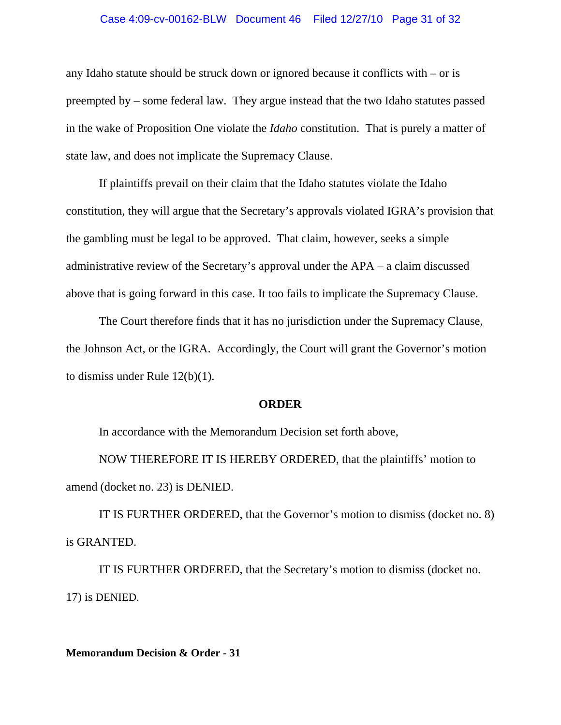#### Case 4:09-cv-00162-BLW Document 46 Filed 12/27/10 Page 31 of 32

any Idaho statute should be struck down or ignored because it conflicts with – or is preempted by – some federal law. They argue instead that the two Idaho statutes passed in the wake of Proposition One violate the *Idaho* constitution. That is purely a matter of state law, and does not implicate the Supremacy Clause.

If plaintiffs prevail on their claim that the Idaho statutes violate the Idaho constitution, they will argue that the Secretary's approvals violated IGRA's provision that the gambling must be legal to be approved. That claim, however, seeks a simple administrative review of the Secretary's approval under the APA – a claim discussed above that is going forward in this case. It too fails to implicate the Supremacy Clause.

The Court therefore finds that it has no jurisdiction under the Supremacy Clause, the Johnson Act, or the IGRA. Accordingly, the Court will grant the Governor's motion to dismiss under Rule 12(b)(1).

### **ORDER**

In accordance with the Memorandum Decision set forth above,

NOW THEREFORE IT IS HEREBY ORDERED, that the plaintiffs' motion to amend (docket no. 23) is DENIED.

IT IS FURTHER ORDERED, that the Governor's motion to dismiss (docket no. 8) is GRANTED.

IT IS FURTHER ORDERED, that the Secretary's motion to dismiss (docket no. 17) is DENIED.